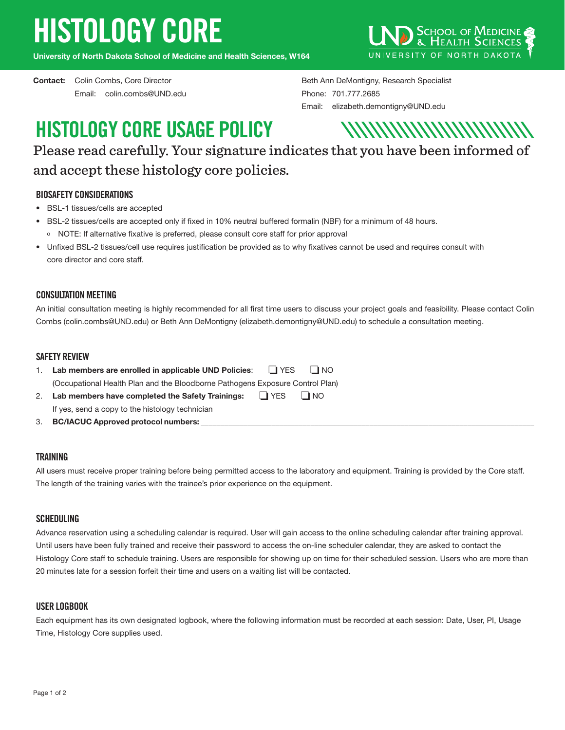# HISTOLOGY CORE

**University of North Dakota School of Medicine and Health Sciences, W164**

Email: colin.combs@UND.edu Phone: 701.777.2685



**Contact:** Colin Combs, Core Director **Beth Ann DeMontigny, Research Specialist** Beth Ann DeMontigny, Research Specialist Email: elizabeth.demontigny@UND.edu

## HISTOLOGY CORE USAGE POLICY



Please read carefully. Your signature indicates that you have been informed of and accept these histology core policies.

### BIOSAFETY CONSIDERATIONS

- BSL-1 tissues/cells are accepted
- BSL-2 tissues/cells are accepted only if fixed in 10% neutral buffered formalin (NBF) for a minimum of 48 hours. o NOTE: If alternative fixative is preferred, please consult core staff for prior approval
- Unfixed BSL-2 tissues/cell use requires justification be provided as to why fixatives cannot be used and requires consult with core director and core staff.

### CONSULTATION MEETING

An initial consultation meeting is highly recommended for all first time users to discuss your project goals and feasibility. Please contact Colin Combs (colin.combs@UND.edu) or Beth Ann DeMontigny (elizabeth.demontigny@UND.edu) to schedule a consultation meeting.

#### SAFETY REVIEW

| Lab members are enrolled in applicable UND Policies: $\Box$ YES               |         | $\blacksquare$ NO |
|-------------------------------------------------------------------------------|---------|-------------------|
| (Occupational Health Plan and the Bloodborne Pathogens Exposure Control Plan) |         |                   |
| 2. Lab members have completed the Safety Trainings:                           | I I YES | I NO              |
| If yes, send a copy to the histology technician                               |         |                   |

3. **BC/IACUC Approved protocol numbers:** \_\_\_\_\_\_\_\_\_\_\_\_\_\_\_\_\_\_\_\_\_\_\_\_\_\_\_\_\_\_\_\_\_\_\_\_\_\_\_\_\_\_\_\_\_\_\_\_\_\_\_\_\_\_\_\_\_\_\_\_\_\_\_\_\_\_\_\_\_\_\_\_\_\_\_\_\_\_\_\_\_\_\_\_\_

#### **TRAINING**

All users must receive proper training before being permitted access to the laboratory and equipment. Training is provided by the Core staff. The length of the training varies with the trainee's prior experience on the equipment.

#### SCHEDULING

Advance reservation using a scheduling calendar is required. User will gain access to the online scheduling calendar after training approval. Until users have been fully trained and receive their password to access the on-line scheduler calendar, they are asked to contact the Histology Core staff to schedule training. Users are responsible for showing up on time for their scheduled session. Users who are more than 20 minutes late for a session forfeit their time and users on a waiting list will be contacted.

#### USER LOGBOOK

Each equipment has its own designated logbook, where the following information must be recorded at each session: Date, User, PI, Usage Time, Histology Core supplies used.